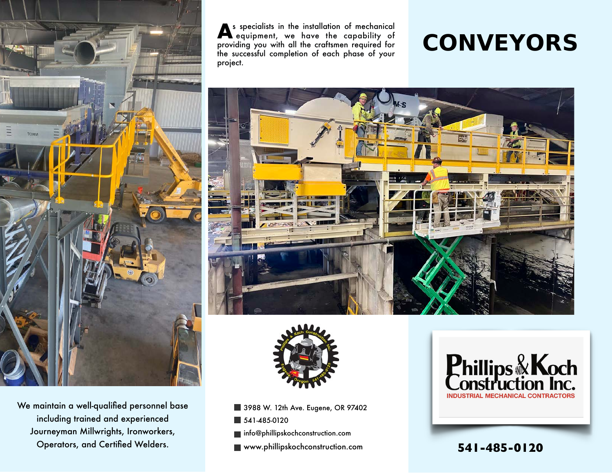

We maintain a well-qualified personnel base including trained and experienced Journeyman Millwrights, Ironworkers, Operators, and Certified Welders.

As specialists in the installation of mechanical equipment, we have the capability of providing you with all the craftsmen required for the successful completion of each phase of your project.

# **CONVEYORS**





- 3988 W. 12th Ave. Eugene, OR 97402
- 541-485-0120
- **info@phillipskochconstruction.com**
- www.phillipskochconstruction.com **541-485-0120**